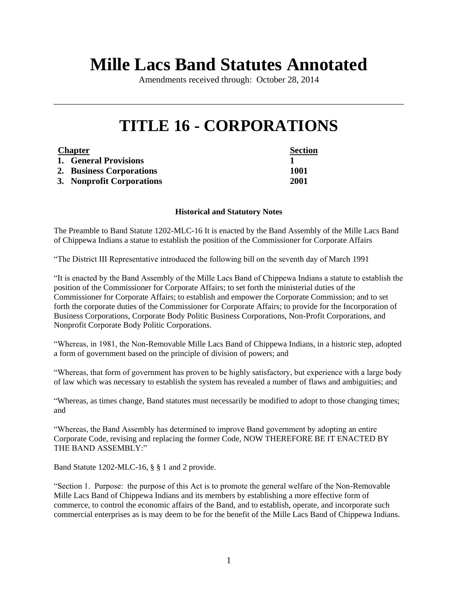# **Mille Lacs Band Statutes Annotated**

Amendments received through: October 28, 2014

\_\_\_\_\_\_\_\_\_\_\_\_\_\_\_\_\_\_\_\_\_\_\_\_\_\_\_\_\_\_\_\_\_\_\_\_\_\_\_\_\_\_\_\_\_\_\_\_\_\_\_\_\_\_\_\_\_\_\_\_\_\_\_\_\_\_\_\_\_\_\_\_\_\_\_\_\_\_

# **TITLE 16 - CORPORATIONS**

| <b>Chapter</b> |                           | <b>Section</b> |
|----------------|---------------------------|----------------|
|                | 1. General Provisions     |                |
|                | 2. Business Corporations  | 1001           |
|                | 3. Nonprofit Corporations | 2001           |

#### **Historical and Statutory Notes**

The Preamble to Band Statute 1202-MLC-16 It is enacted by the Band Assembly of the Mille Lacs Band of Chippewa Indians a statue to establish the position of the Commissioner for Corporate Affairs

"The District III Representative introduced the following bill on the seventh day of March 1991

"It is enacted by the Band Assembly of the Mille Lacs Band of Chippewa Indians a statute to establish the position of the Commissioner for Corporate Affairs; to set forth the ministerial duties of the Commissioner for Corporate Affairs; to establish and empower the Corporate Commission; and to set forth the corporate duties of the Commissioner for Corporate Affairs; to provide for the Incorporation of Business Corporations, Corporate Body Politic Business Corporations, Non-Profit Corporations, and Nonprofit Corporate Body Politic Corporations.

"Whereas, in 1981, the Non-Removable Mille Lacs Band of Chippewa Indians, in a historic step, adopted a form of government based on the principle of division of powers; and

"Whereas, that form of government has proven to be highly satisfactory, but experience with a large body of law which was necessary to establish the system has revealed a number of flaws and ambiguities; and

"Whereas, as times change, Band statutes must necessarily be modified to adopt to those changing times; and

"Whereas, the Band Assembly has determined to improve Band government by adopting an entire Corporate Code, revising and replacing the former Code, NOW THEREFORE BE IT ENACTED BY THE BAND ASSEMBLY:"

Band Statute 1202-MLC-16, § § 1 and 2 provide.

"Section 1. Purpose: the purpose of this Act is to promote the general welfare of the Non-Removable Mille Lacs Band of Chippewa Indians and its members by establishing a more effective form of commerce, to control the economic affairs of the Band, and to establish, operate, and incorporate such commercial enterprises as is may deem to be for the benefit of the Mille Lacs Band of Chippewa Indians.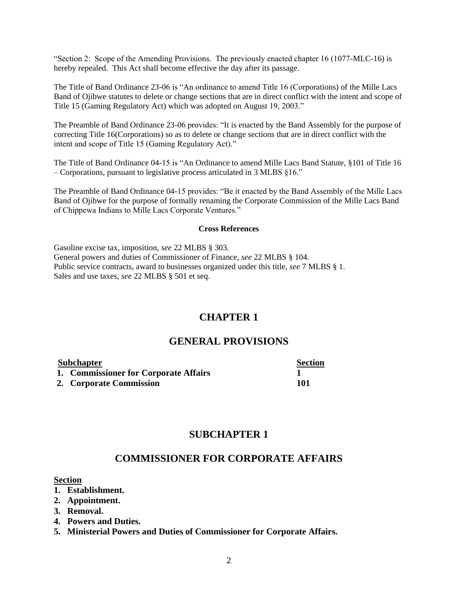"Section 2: Scope of the Amending Provisions. The previously enacted chapter 16 (1077-MLC-16) is hereby repealed. This Act shall become effective the day after its passage.

The Title of Band Ordinance 23-06 is "An ordinance to amend Title 16 (Corporations) of the Mille Lacs Band of Ojibwe statutes to delete or change sections that are in direct conflict with the intent and scope of Title 15 (Gaming Regulatory Act) which was adopted on August 19, 2003."

The Preamble of Band Ordinance 23-06 provides: "It is enacted by the Band Assembly for the purpose of correcting Title 16(Corporations) so as to delete or change sections that are in direct conflict with the intent and scope of Title 15 (Gaming Regulatory Act)."

The Title of Band Ordinance 04-15 is "An Ordinance to amend Mille Lacs Band Statute, §101 of Title 16 – Corporations, pursuant to legislative process articulated in 3 MLBS §16."

The Preamble of Band Ordinance 04-15 provides: "Be it enacted by the Band Assembly of the Mille Lacs Band of Ojibwe for the purpose of formally renaming the Corporate Commission of the Mille Lacs Band of Chippewa Indians to Mille Lacs Corporate Ventures."

#### **Cross References**

Gasoline excise tax, imposition, *see* 22 MLBS § 303. General powers and duties of Commissioner of Finance, *see* 22 MLBS § 104. Public service contracts, award to businesses organized under this title, *see* 7 MLBS § 1. Sales and use taxes, *see* 22 MLBS § 501 et seq.

# **CHAPTER 1**

# **GENERAL PROVISIONS**

| <b>Subchapter</b>                     | <b>Section</b> |
|---------------------------------------|----------------|
| 1. Commissioner for Corporate Affairs |                |
| 2. Corporate Commission               | 101            |

#### **SUBCHAPTER 1**

## **COMMISSIONER FOR CORPORATE AFFAIRS**

#### **Section**

- **1. Establishment.**
- **2. Appointment.**
- **3. Removal.**
- **4. Powers and Duties.**
- **5. Ministerial Powers and Duties of Commissioner for Corporate Affairs.**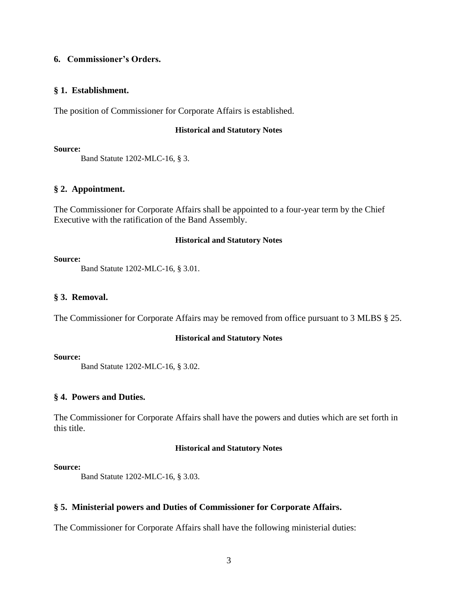# **6. Commissioner's Orders.**

#### **§ 1. Establishment.**

The position of Commissioner for Corporate Affairs is established.

#### **Historical and Statutory Notes**

**Source:**

Band Statute 1202-MLC-16, § 3.

# **§ 2. Appointment.**

The Commissioner for Corporate Affairs shall be appointed to a four-year term by the Chief Executive with the ratification of the Band Assembly.

#### **Historical and Statutory Notes**

#### **Source:**

Band Statute 1202-MLC-16, § 3.01.

#### **§ 3. Removal.**

The Commissioner for Corporate Affairs may be removed from office pursuant to 3 MLBS § 25.

#### **Historical and Statutory Notes**

**Source:**

Band Statute 1202-MLC-16, § 3.02.

# **§ 4. Powers and Duties.**

The Commissioner for Corporate Affairs shall have the powers and duties which are set forth in this title.

# **Historical and Statutory Notes**

#### **Source:**

Band Statute 1202-MLC-16, § 3.03.

# **§ 5. Ministerial powers and Duties of Commissioner for Corporate Affairs.**

The Commissioner for Corporate Affairs shall have the following ministerial duties: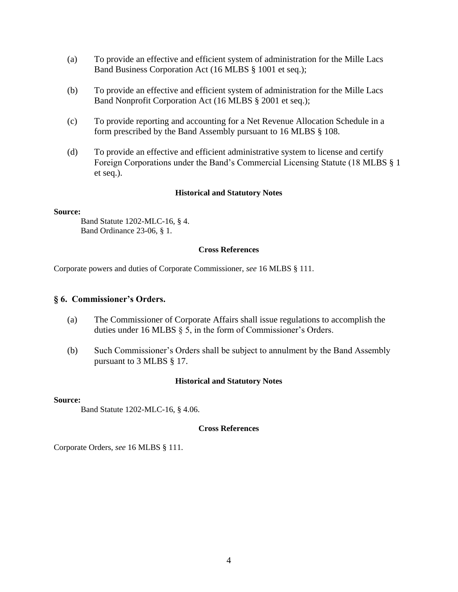- (a) To provide an effective and efficient system of administration for the Mille Lacs Band Business Corporation Act (16 MLBS § 1001 et seq.);
- (b) To provide an effective and efficient system of administration for the Mille Lacs Band Nonprofit Corporation Act (16 MLBS § 2001 et seq.);
- (c) To provide reporting and accounting for a Net Revenue Allocation Schedule in a form prescribed by the Band Assembly pursuant to 16 MLBS § 108.
- (d) To provide an effective and efficient administrative system to license and certify Foreign Corporations under the Band's Commercial Licensing Statute (18 MLBS § 1 et seq.).

#### **Source:**

Band Statute 1202-MLC-16, § 4. Band Ordinance 23-06, § 1.

#### **Cross References**

Corporate powers and duties of Corporate Commissioner, *see* 16 MLBS § 111.

#### **§ 6. Commissioner's Orders.**

- (a) The Commissioner of Corporate Affairs shall issue regulations to accomplish the duties under 16 MLBS § 5, in the form of Commissioner's Orders.
- (b) Such Commissioner's Orders shall be subject to annulment by the Band Assembly pursuant to 3 MLBS § 17.

#### **Historical and Statutory Notes**

#### **Source:**

Band Statute 1202-MLC-16, § 4.06.

#### **Cross References**

Corporate Orders, *see* 16 MLBS § 111.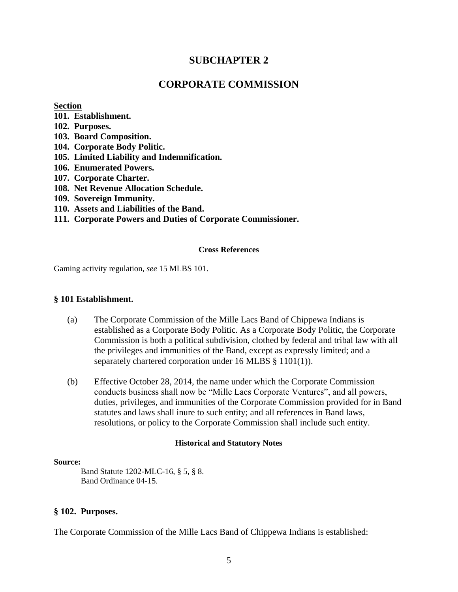# **SUBCHAPTER 2**

# **CORPORATE COMMISSION**

#### **Section**

- **101. Establishment.**
- **102. Purposes.**
- **103. Board Composition.**
- **104. Corporate Body Politic.**
- **105. Limited Liability and Indemnification.**
- **106. Enumerated Powers.**
- **107. Corporate Charter.**
- **108. Net Revenue Allocation Schedule.**
- **109. Sovereign Immunity.**
- **110. Assets and Liabilities of the Band.**
- **111. Corporate Powers and Duties of Corporate Commissioner.**

#### **Cross References**

Gaming activity regulation, *see* 15 MLBS 101.

#### **§ 101 Establishment.**

- (a) The Corporate Commission of the Mille Lacs Band of Chippewa Indians is established as a Corporate Body Politic. As a Corporate Body Politic, the Corporate Commission is both a political subdivision, clothed by federal and tribal law with all the privileges and immunities of the Band, except as expressly limited; and a separately chartered corporation under 16 MLBS § 1101(1)).
- (b) Effective October 28, 2014, the name under which the Corporate Commission conducts business shall now be "Mille Lacs Corporate Ventures", and all powers, duties, privileges, and immunities of the Corporate Commission provided for in Band statutes and laws shall inure to such entity; and all references in Band laws, resolutions, or policy to the Corporate Commission shall include such entity.

#### **Historical and Statutory Notes**

#### **Source:**

Band Statute 1202-MLC-16, § 5, § 8. Band Ordinance 04-15.

# **§ 102. Purposes.**

The Corporate Commission of the Mille Lacs Band of Chippewa Indians is established: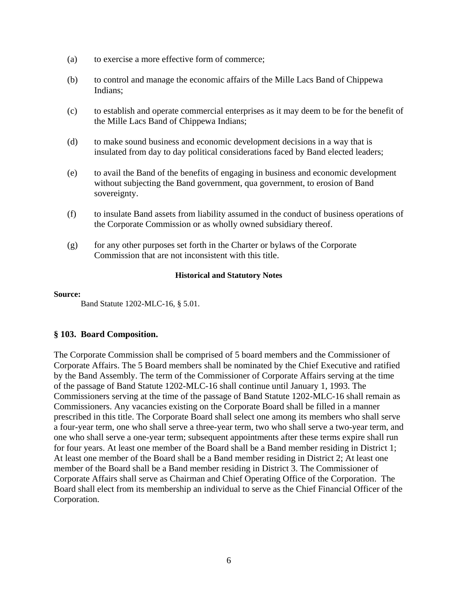- (a) to exercise a more effective form of commerce;
- (b) to control and manage the economic affairs of the Mille Lacs Band of Chippewa Indians;
- (c) to establish and operate commercial enterprises as it may deem to be for the benefit of the Mille Lacs Band of Chippewa Indians;
- (d) to make sound business and economic development decisions in a way that is insulated from day to day political considerations faced by Band elected leaders;
- (e) to avail the Band of the benefits of engaging in business and economic development without subjecting the Band government, qua government, to erosion of Band sovereignty.
- (f) to insulate Band assets from liability assumed in the conduct of business operations of the Corporate Commission or as wholly owned subsidiary thereof.
- $(g)$  for any other purposes set forth in the Charter or bylaws of the Corporate Commission that are not inconsistent with this title.

**Source:**

Band Statute 1202-MLC-16, § 5.01.

# **§ 103. Board Composition.**

The Corporate Commission shall be comprised of 5 board members and the Commissioner of Corporate Affairs. The 5 Board members shall be nominated by the Chief Executive and ratified by the Band Assembly. The term of the Commissioner of Corporate Affairs serving at the time of the passage of Band Statute 1202-MLC-16 shall continue until January 1, 1993. The Commissioners serving at the time of the passage of Band Statute 1202-MLC-16 shall remain as Commissioners. Any vacancies existing on the Corporate Board shall be filled in a manner prescribed in this title. The Corporate Board shall select one among its members who shall serve a four-year term, one who shall serve a three-year term, two who shall serve a two-year term, and one who shall serve a one-year term; subsequent appointments after these terms expire shall run for four years. At least one member of the Board shall be a Band member residing in District 1; At least one member of the Board shall be a Band member residing in District 2; At least one member of the Board shall be a Band member residing in District 3. The Commissioner of Corporate Affairs shall serve as Chairman and Chief Operating Office of the Corporation. The Board shall elect from its membership an individual to serve as the Chief Financial Officer of the Corporation.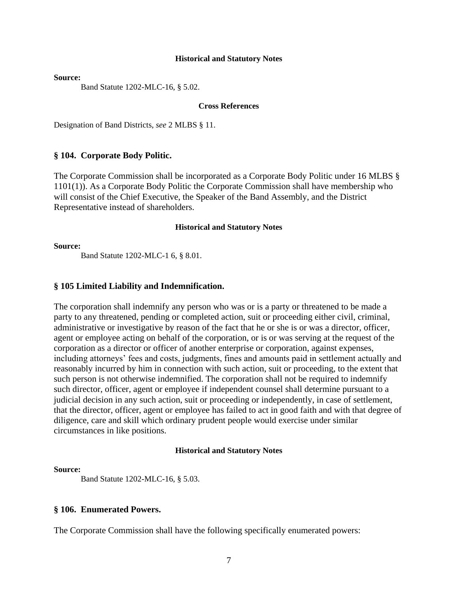**Source:**

Band Statute 1202-MLC-16, § 5.02.

#### **Cross References**

Designation of Band Districts, *see* 2 MLBS § 11.

#### **§ 104. Corporate Body Politic.**

The Corporate Commission shall be incorporated as a Corporate Body Politic under 16 MLBS § 1101(1)). As a Corporate Body Politic the Corporate Commission shall have membership who will consist of the Chief Executive, the Speaker of the Band Assembly, and the District Representative instead of shareholders.

#### **Historical and Statutory Notes**

**Source:**

Band Statute 1202-MLC-1 6, § 8.01.

#### **§ 105 Limited Liability and Indemnification.**

The corporation shall indemnify any person who was or is a party or threatened to be made a party to any threatened, pending or completed action, suit or proceeding either civil, criminal, administrative or investigative by reason of the fact that he or she is or was a director, officer, agent or employee acting on behalf of the corporation, or is or was serving at the request of the corporation as a director or officer of another enterprise or corporation, against expenses, including attorneys' fees and costs, judgments, fines and amounts paid in settlement actually and reasonably incurred by him in connection with such action, suit or proceeding, to the extent that such person is not otherwise indemnified. The corporation shall not be required to indemnify such director, officer, agent or employee if independent counsel shall determine pursuant to a judicial decision in any such action, suit or proceeding or independently, in case of settlement, that the director, officer, agent or employee has failed to act in good faith and with that degree of diligence, care and skill which ordinary prudent people would exercise under similar circumstances in like positions.

#### **Historical and Statutory Notes**

#### **Source:**

Band Statute 1202-MLC-16, § 5.03.

#### **§ 106. Enumerated Powers.**

The Corporate Commission shall have the following specifically enumerated powers: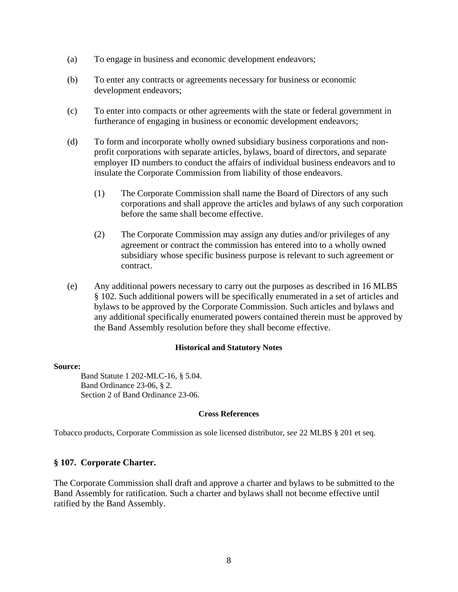- (a) To engage in business and economic development endeavors;
- (b) To enter any contracts or agreements necessary for business or economic development endeavors;
- (c) To enter into compacts or other agreements with the state or federal government in furtherance of engaging in business or economic development endeavors;
- (d) To form and incorporate wholly owned subsidiary business corporations and nonprofit corporations with separate articles, bylaws, board of directors, and separate employer ID numbers to conduct the affairs of individual business endeavors and to insulate the Corporate Commission from liability of those endeavors.
	- (1) The Corporate Commission shall name the Board of Directors of any such corporations and shall approve the articles and bylaws of any such corporation before the same shall become effective.
	- (2) The Corporate Commission may assign any duties and/or privileges of any agreement or contract the commission has entered into to a wholly owned subsidiary whose specific business purpose is relevant to such agreement or contract.
- (e) Any additional powers necessary to carry out the purposes as described in 16 MLBS § 102. Such additional powers will be specifically enumerated in a set of articles and bylaws to be approved by the Corporate Commission. Such articles and bylaws and any additional specifically enumerated powers contained therein must be approved by the Band Assembly resolution before they shall become effective.

#### **Source:**

Band Statute 1 202-MLC-16, § 5.04. Band Ordinance 23-06, § 2. Section 2 of Band Ordinance 23-06.

#### **Cross References**

Tobacco products, Corporate Commission as sole licensed distributor, *see* 22 MLBS § 201 et seq.

# **§ 107. Corporate Charter.**

The Corporate Commission shall draft and approve a charter and bylaws to be submitted to the Band Assembly for ratification. Such a charter and bylaws shall not become effective until ratified by the Band Assembly.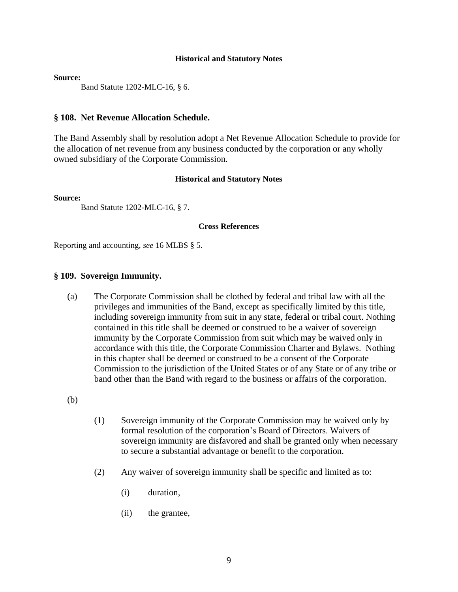#### **Source:**

Band Statute 1202-MLC-16, § 6.

#### **§ 108. Net Revenue Allocation Schedule.**

The Band Assembly shall by resolution adopt a Net Revenue Allocation Schedule to provide for the allocation of net revenue from any business conducted by the corporation or any wholly owned subsidiary of the Corporate Commission.

#### **Historical and Statutory Notes**

**Source:**

Band Statute 1202-MLC-16, § 7.

#### **Cross References**

Reporting and accounting, *see* 16 MLBS § 5.

#### **§ 109. Sovereign Immunity.**

(a) The Corporate Commission shall be clothed by federal and tribal law with all the privileges and immunities of the Band, except as specifically limited by this title, including sovereign immunity from suit in any state, federal or tribal court. Nothing contained in this title shall be deemed or construed to be a waiver of sovereign immunity by the Corporate Commission from suit which may be waived only in accordance with this title, the Corporate Commission Charter and Bylaws. Nothing in this chapter shall be deemed or construed to be a consent of the Corporate Commission to the jurisdiction of the United States or of any State or of any tribe or band other than the Band with regard to the business or affairs of the corporation.

(b)

- (1) Sovereign immunity of the Corporate Commission may be waived only by formal resolution of the corporation's Board of Directors. Waivers of sovereign immunity are disfavored and shall be granted only when necessary to secure a substantial advantage or benefit to the corporation.
- (2) Any waiver of sovereign immunity shall be specific and limited as to:
	- (i) duration,
	- (ii) the grantee,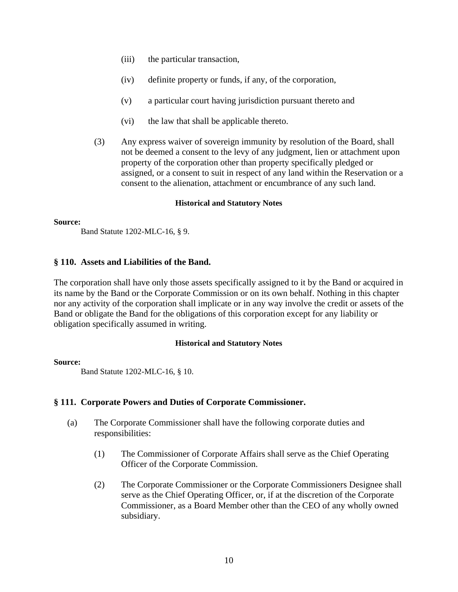- (iii) the particular transaction,
- (iv) definite property or funds, if any, of the corporation,
- (v) a particular court having jurisdiction pursuant thereto and
- (vi) the law that shall be applicable thereto.
- (3) Any express waiver of sovereign immunity by resolution of the Board, shall not be deemed a consent to the levy of any judgment, lien or attachment upon property of the corporation other than property specifically pledged or assigned, or a consent to suit in respect of any land within the Reservation or a consent to the alienation, attachment or encumbrance of any such land.

#### **Source:**

Band Statute 1202-MLC-16, § 9.

## **§ 110. Assets and Liabilities of the Band.**

The corporation shall have only those assets specifically assigned to it by the Band or acquired in its name by the Band or the Corporate Commission or on its own behalf. Nothing in this chapter nor any activity of the corporation shall implicate or in any way involve the credit or assets of the Band or obligate the Band for the obligations of this corporation except for any liability or obligation specifically assumed in writing.

#### **Historical and Statutory Notes**

#### **Source:**

Band Statute 1202-MLC-16, § 10.

# **§ 111. Corporate Powers and Duties of Corporate Commissioner.**

- (a) The Corporate Commissioner shall have the following corporate duties and responsibilities:
	- (1) The Commissioner of Corporate Affairs shall serve as the Chief Operating Officer of the Corporate Commission.
	- (2) The Corporate Commissioner or the Corporate Commissioners Designee shall serve as the Chief Operating Officer, or, if at the discretion of the Corporate Commissioner, as a Board Member other than the CEO of any wholly owned subsidiary.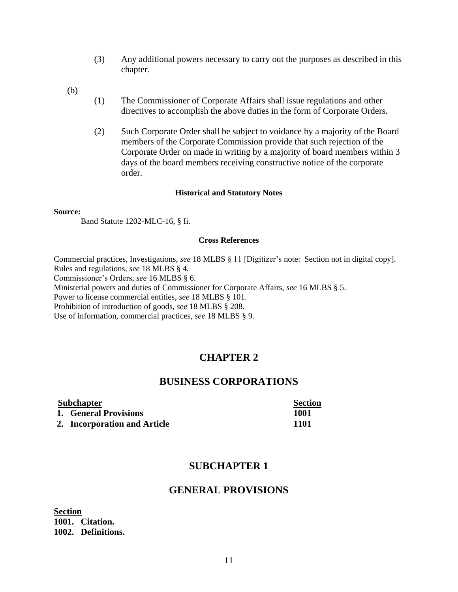- (3) Any additional powers necessary to carry out the purposes as described in this chapter.
- (b)
- (1) The Commissioner of Corporate Affairs shall issue regulations and other directives to accomplish the above duties in the form of Corporate Orders.
- (2) Such Corporate Order shall be subject to voidance by a majority of the Board members of the Corporate Commission provide that such rejection of the Corporate Order on made in writing by a majority of board members within 3 days of the board members receiving constructive notice of the corporate order.

#### **Source:**

Band Statute 1202-MLC-16, § Ii.

#### **Cross References**

Commercial practices, Investigations, *see* 18 MLBS § 11 [Digitizer's note: Section not in digital copy]. Rules and regulations, *see* 18 MLBS § 4.

Commissioner's Orders, *see* 16 MLBS § 6.

Ministerial powers and duties of Commissioner for Corporate Affairs, *see* 16 MLBS § 5.

Power to license commercial entities, *see* 18 MLBS § 101.

Prohibition of introduction of goods, *see* 18 MLBS § 208.

Use of information, commercial practices, *see* 18 MLBS § 9.

# **CHAPTER 2**

# **BUSINESS CORPORATIONS**

| <b>Subchapter</b> |                              | <b>Section</b> |
|-------------------|------------------------------|----------------|
|                   | 1. General Provisions        | 1001           |
|                   | 2. Incorporation and Article | 1101           |

# **SUBCHAPTER 1**

# **GENERAL PROVISIONS**

**Section 1001. Citation. 1002. Definitions.**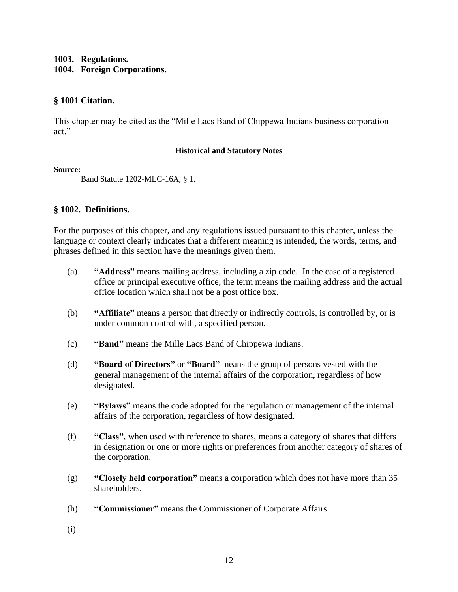# **1003. Regulations. 1004. Foreign Corporations.**

# **§ 1001 Citation.**

This chapter may be cited as the "Mille Lacs Band of Chippewa Indians business corporation act."

## **Historical and Statutory Notes**

## **Source:**

Band Statute 1202-MLC-16A, § 1.

# **§ 1002. Definitions.**

For the purposes of this chapter, and any regulations issued pursuant to this chapter, unless the language or context clearly indicates that a different meaning is intended, the words, terms, and phrases defined in this section have the meanings given them.

- (a) **"Address"** means mailing address, including a zip code. In the case of a registered office or principal executive office, the term means the mailing address and the actual office location which shall not be a post office box.
- (b) **"Affiliate"** means a person that directly or indirectly controls, is controlled by, or is under common control with, a specified person.
- (c) **"Band"** means the Mille Lacs Band of Chippewa Indians.
- (d) **"Board of Directors"** or **"Board"** means the group of persons vested with the general management of the internal affairs of the corporation, regardless of how designated.
- (e) **"Bylaws"** means the code adopted for the regulation or management of the internal affairs of the corporation, regardless of how designated.
- (f) **"Class"**, when used with reference to shares, means a category of shares that differs in designation or one or more rights or preferences from another category of shares of the corporation.
- (g) **"Closely held corporation"** means a corporation which does not have more than 35 shareholders.
- (h) **"Commissioner"** means the Commissioner of Corporate Affairs.
- (i)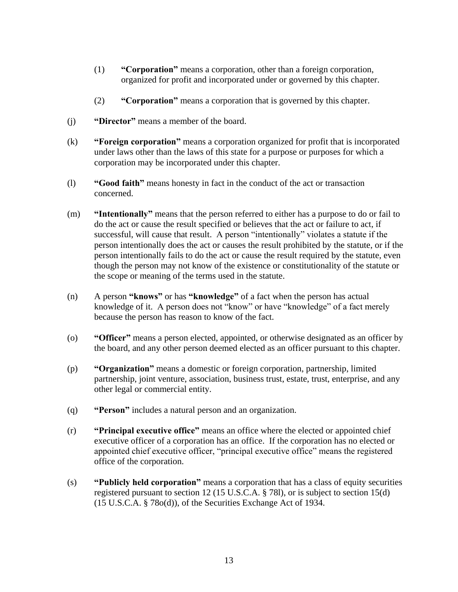- (1) **"Corporation"** means a corporation, other than a foreign corporation, organized for profit and incorporated under or governed by this chapter.
- (2) **"Corporation"** means a corporation that is governed by this chapter.
- (j) **"Director"** means a member of the board.
- (k) **"Foreign corporation"** means a corporation organized for profit that is incorporated under laws other than the laws of this state for a purpose or purposes for which a corporation may be incorporated under this chapter.
- (l) **"Good faith"** means honesty in fact in the conduct of the act or transaction concerned.
- (m) **"Intentionally"** means that the person referred to either has a purpose to do or fail to do the act or cause the result specified or believes that the act or failure to act, if successful, will cause that result. A person "intentionally" violates a statute if the person intentionally does the act or causes the result prohibited by the statute, or if the person intentionally fails to do the act or cause the result required by the statute, even though the person may not know of the existence or constitutionality of the statute or the scope or meaning of the terms used in the statute.
- (n) A person **"knows"** or has **"knowledge"** of a fact when the person has actual knowledge of it. A person does not "know" or have "knowledge" of a fact merely because the person has reason to know of the fact.
- (o) **"Officer"** means a person elected, appointed, or otherwise designated as an officer by the board, and any other person deemed elected as an officer pursuant to this chapter.
- (p) **"Organization"** means a domestic or foreign corporation, partnership, limited partnership, joint venture, association, business trust, estate, trust, enterprise, and any other legal or commercial entity.
- (q) **"Person"** includes a natural person and an organization.
- (r) **"Principal executive office"** means an office where the elected or appointed chief executive officer of a corporation has an office. If the corporation has no elected or appointed chief executive officer, "principal executive office" means the registered office of the corporation.
- (s) **"Publicly held corporation"** means a corporation that has a class of equity securities registered pursuant to section 12 (15 U.S.C.A. § 78l), or is subject to section 15(d) (15 U.S.C.A. § 78o(d)), of the Securities Exchange Act of 1934.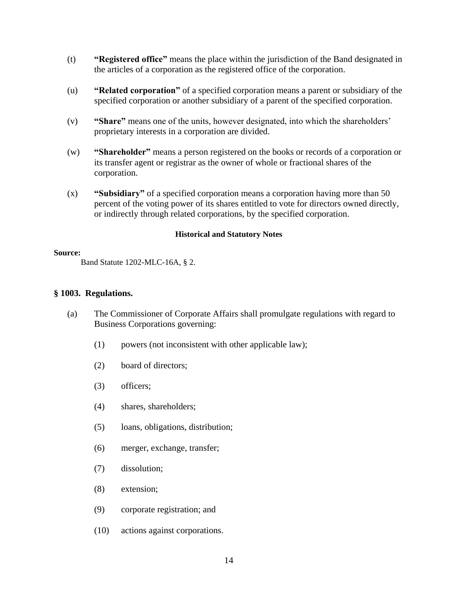- (t) **"Registered office"** means the place within the jurisdiction of the Band designated in the articles of a corporation as the registered office of the corporation.
- (u) **"Related corporation"** of a specified corporation means a parent or subsidiary of the specified corporation or another subsidiary of a parent of the specified corporation.
- (v) **"Share"** means one of the units, however designated, into which the shareholders' proprietary interests in a corporation are divided.
- (w) **"Shareholder"** means a person registered on the books or records of a corporation or its transfer agent or registrar as the owner of whole or fractional shares of the corporation.
- (x) **"Subsidiary"** of a specified corporation means a corporation having more than 50 percent of the voting power of its shares entitled to vote for directors owned directly, or indirectly through related corporations, by the specified corporation.

#### **Source:**

Band Statute 1202-MLC-16A, § 2.

## **§ 1003. Regulations.**

- (a) The Commissioner of Corporate Affairs shall promulgate regulations with regard to Business Corporations governing:
	- (1) powers (not inconsistent with other applicable law);
	- (2) board of directors;
	- (3) officers;
	- (4) shares, shareholders;
	- (5) loans, obligations, distribution;
	- (6) merger, exchange, transfer;
	- (7) dissolution;
	- (8) extension;
	- (9) corporate registration; and
	- (10) actions against corporations.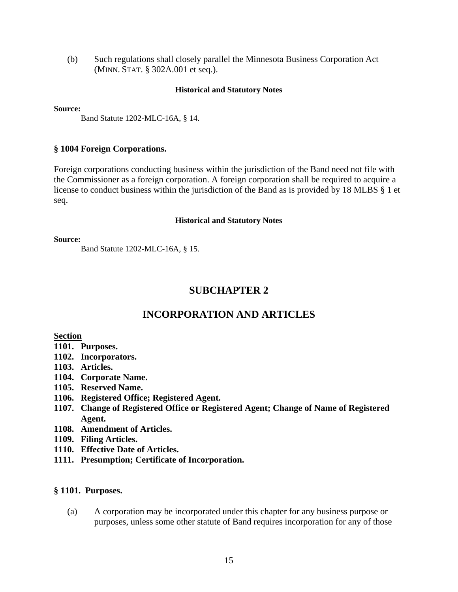(b) Such regulations shall closely parallel the Minnesota Business Corporation Act (MINN. STAT. § 302A.001 et seq.).

#### **Historical and Statutory Notes**

**Source:**

Band Statute 1202-MLC-16A, § 14.

#### **§ 1004 Foreign Corporations.**

Foreign corporations conducting business within the jurisdiction of the Band need not file with the Commissioner as a foreign corporation. A foreign corporation shall be required to acquire a license to conduct business within the jurisdiction of the Band as is provided by 18 MLBS § 1 et seq.

#### **Historical and Statutory Notes**

**Source:**

Band Statute 1202-MLC-16A, § 15.

# **SUBCHAPTER 2**

# **INCORPORATION AND ARTICLES**

**Section**

- **1101. Purposes.**
- **1102. Incorporators.**
- **1103. Articles.**
- **1104. Corporate Name.**
- **1105. Reserved Name.**
- **1106. Registered Office; Registered Agent.**
- **1107. Change of Registered Office or Registered Agent; Change of Name of Registered Agent.**
- **1108. Amendment of Articles.**
- **1109. Filing Articles.**
- **1110. Effective Date of Articles.**
- **1111. Presumption; Certificate of Incorporation.**

#### **§ 1101. Purposes.**

(a) A corporation may be incorporated under this chapter for any business purpose or purposes, unless some other statute of Band requires incorporation for any of those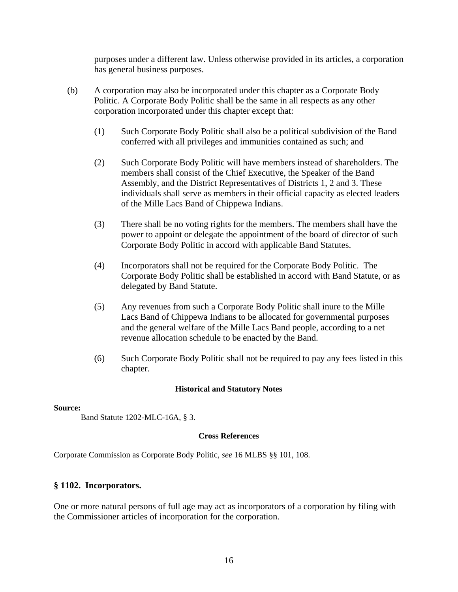purposes under a different law. Unless otherwise provided in its articles, a corporation has general business purposes.

- (b) A corporation may also be incorporated under this chapter as a Corporate Body Politic. A Corporate Body Politic shall be the same in all respects as any other corporation incorporated under this chapter except that:
	- (1) Such Corporate Body Politic shall also be a political subdivision of the Band conferred with all privileges and immunities contained as such; and
	- (2) Such Corporate Body Politic will have members instead of shareholders. The members shall consist of the Chief Executive, the Speaker of the Band Assembly, and the District Representatives of Districts 1, 2 and 3. These individuals shall serve as members in their official capacity as elected leaders of the Mille Lacs Band of Chippewa Indians.
	- (3) There shall be no voting rights for the members. The members shall have the power to appoint or delegate the appointment of the board of director of such Corporate Body Politic in accord with applicable Band Statutes.
	- (4) Incorporators shall not be required for the Corporate Body Politic. The Corporate Body Politic shall be established in accord with Band Statute, or as delegated by Band Statute.
	- (5) Any revenues from such a Corporate Body Politic shall inure to the Mille Lacs Band of Chippewa Indians to be allocated for governmental purposes and the general welfare of the Mille Lacs Band people, according to a net revenue allocation schedule to be enacted by the Band.
	- (6) Such Corporate Body Politic shall not be required to pay any fees listed in this chapter.

# **Historical and Statutory Notes**

#### **Source:**

Band Statute 1202-MLC-16A, § 3.

#### **Cross References**

Corporate Commission as Corporate Body Politic, *see* 16 MLBS §§ 101, 108.

# **§ 1102. Incorporators.**

One or more natural persons of full age may act as incorporators of a corporation by filing with the Commissioner articles of incorporation for the corporation.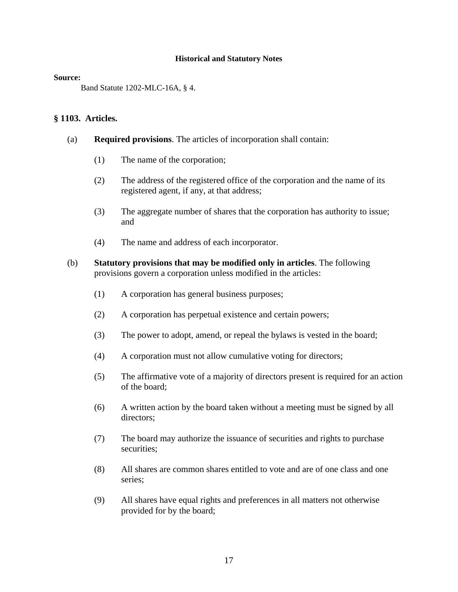#### **Source:**

Band Statute 1202-MLC-16A, § 4.

## **§ 1103. Articles.**

- (a) **Required provisions**. The articles of incorporation shall contain:
	- (1) The name of the corporation;
	- (2) The address of the registered office of the corporation and the name of its registered agent, if any, at that address;
	- (3) The aggregate number of shares that the corporation has authority to issue; and
	- (4) The name and address of each incorporator.
- (b) **Statutory provisions that may be modified only in articles**. The following provisions govern a corporation unless modified in the articles:
	- (1) A corporation has general business purposes;
	- (2) A corporation has perpetual existence and certain powers;
	- (3) The power to adopt, amend, or repeal the bylaws is vested in the board;
	- (4) A corporation must not allow cumulative voting for directors;
	- (5) The affirmative vote of a majority of directors present is required for an action of the board;
	- (6) A written action by the board taken without a meeting must be signed by all directors;
	- (7) The board may authorize the issuance of securities and rights to purchase securities;
	- (8) All shares are common shares entitled to vote and are of one class and one series;
	- (9) All shares have equal rights and preferences in all matters not otherwise provided for by the board;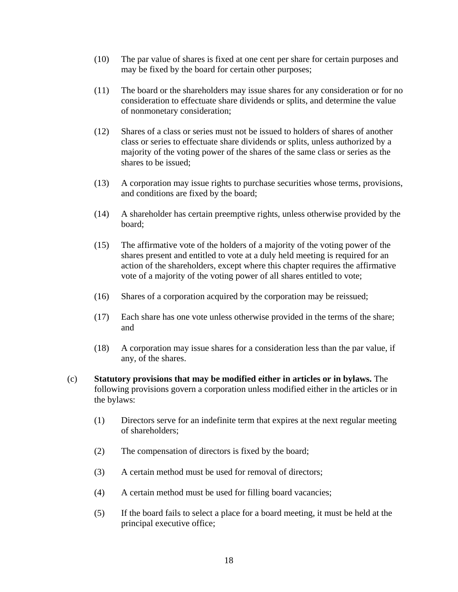- (10) The par value of shares is fixed at one cent per share for certain purposes and may be fixed by the board for certain other purposes;
- (11) The board or the shareholders may issue shares for any consideration or for no consideration to effectuate share dividends or splits, and determine the value of nonmonetary consideration;
- (12) Shares of a class or series must not be issued to holders of shares of another class or series to effectuate share dividends or splits, unless authorized by a majority of the voting power of the shares of the same class or series as the shares to be issued;
- (13) A corporation may issue rights to purchase securities whose terms, provisions, and conditions are fixed by the board;
- (14) A shareholder has certain preemptive rights, unless otherwise provided by the board;
- (15) The affirmative vote of the holders of a majority of the voting power of the shares present and entitled to vote at a duly held meeting is required for an action of the shareholders, except where this chapter requires the affirmative vote of a majority of the voting power of all shares entitled to vote;
- (16) Shares of a corporation acquired by the corporation may be reissued;
- (17) Each share has one vote unless otherwise provided in the terms of the share; and
- (18) A corporation may issue shares for a consideration less than the par value, if any, of the shares.
- (c) **Statutory provisions that may be modified either in articles or in bylaws.** The following provisions govern a corporation unless modified either in the articles or in the bylaws:
	- (1) Directors serve for an indefinite term that expires at the next regular meeting of shareholders;
	- (2) The compensation of directors is fixed by the board;
	- (3) A certain method must be used for removal of directors;
	- (4) A certain method must be used for filling board vacancies;
	- (5) If the board fails to select a place for a board meeting, it must be held at the principal executive office;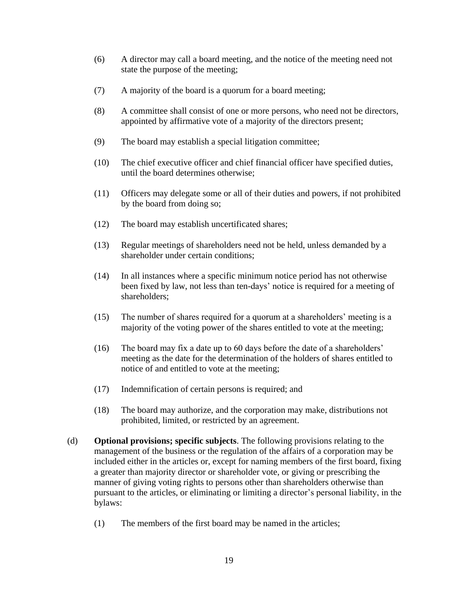- (6) A director may call a board meeting, and the notice of the meeting need not state the purpose of the meeting;
- (7) A majority of the board is a quorum for a board meeting;
- (8) A committee shall consist of one or more persons, who need not be directors, appointed by affirmative vote of a majority of the directors present;
- (9) The board may establish a special litigation committee;
- (10) The chief executive officer and chief financial officer have specified duties, until the board determines otherwise;
- (11) Officers may delegate some or all of their duties and powers, if not prohibited by the board from doing so;
- (12) The board may establish uncertificated shares;
- (13) Regular meetings of shareholders need not be held, unless demanded by a shareholder under certain conditions;
- (14) In all instances where a specific minimum notice period has not otherwise been fixed by law, not less than ten-days' notice is required for a meeting of shareholders;
- (15) The number of shares required for a quorum at a shareholders' meeting is a majority of the voting power of the shares entitled to vote at the meeting;
- (16) The board may fix a date up to 60 days before the date of a shareholders' meeting as the date for the determination of the holders of shares entitled to notice of and entitled to vote at the meeting;
- (17) Indemnification of certain persons is required; and
- (18) The board may authorize, and the corporation may make, distributions not prohibited, limited, or restricted by an agreement.
- (d) **Optional provisions; specific subjects**. The following provisions relating to the management of the business or the regulation of the affairs of a corporation may be included either in the articles or, except for naming members of the first board, fixing a greater than majority director or shareholder vote, or giving or prescribing the manner of giving voting rights to persons other than shareholders otherwise than pursuant to the articles, or eliminating or limiting a director's personal liability, in the bylaws:
	- (1) The members of the first board may be named in the articles;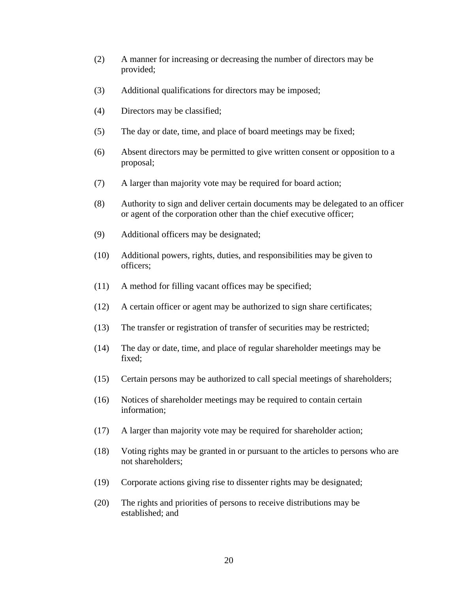- (2) A manner for increasing or decreasing the number of directors may be provided;
- (3) Additional qualifications for directors may be imposed;
- (4) Directors may be classified;
- (5) The day or date, time, and place of board meetings may be fixed;
- (6) Absent directors may be permitted to give written consent or opposition to a proposal;
- (7) A larger than majority vote may be required for board action;
- (8) Authority to sign and deliver certain documents may be delegated to an officer or agent of the corporation other than the chief executive officer;
- (9) Additional officers may be designated;
- (10) Additional powers, rights, duties, and responsibilities may be given to officers;
- (11) A method for filling vacant offices may be specified;
- (12) A certain officer or agent may be authorized to sign share certificates;
- (13) The transfer or registration of transfer of securities may be restricted;
- (14) The day or date, time, and place of regular shareholder meetings may be fixed;
- (15) Certain persons may be authorized to call special meetings of shareholders;
- (16) Notices of shareholder meetings may be required to contain certain information;
- (17) A larger than majority vote may be required for shareholder action;
- (18) Voting rights may be granted in or pursuant to the articles to persons who are not shareholders;
- (19) Corporate actions giving rise to dissenter rights may be designated;
- (20) The rights and priorities of persons to receive distributions may be established; and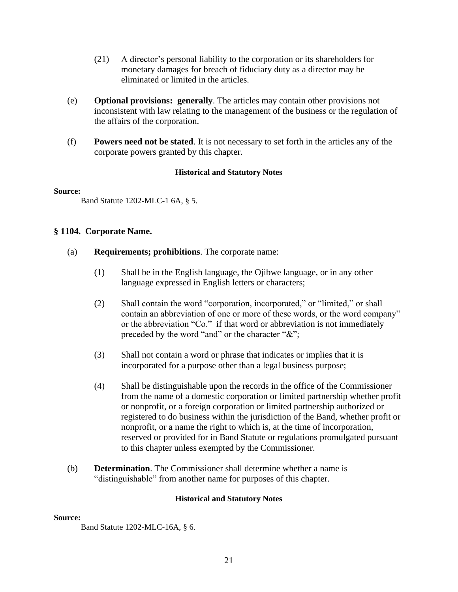- (21) A director's personal liability to the corporation or its shareholders for monetary damages for breach of fiduciary duty as a director may be eliminated or limited in the articles.
- (e) **Optional provisions: generally**. The articles may contain other provisions not inconsistent with law relating to the management of the business or the regulation of the affairs of the corporation.
- (f) **Powers need not be stated**. It is not necessary to set forth in the articles any of the corporate powers granted by this chapter.

#### **Source:**

Band Statute 1202-MLC-1 6A, § 5.

## **§ 1104. Corporate Name.**

- (a) **Requirements; prohibitions**. The corporate name:
	- (1) Shall be in the English language, the Ojibwe language, or in any other language expressed in English letters or characters;
	- (2) Shall contain the word "corporation, incorporated," or "limited," or shall contain an abbreviation of one or more of these words, or the word company" or the abbreviation "Co." if that word or abbreviation is not immediately preceded by the word "and" or the character "&";
	- (3) Shall not contain a word or phrase that indicates or implies that it is incorporated for a purpose other than a legal business purpose;
	- (4) Shall be distinguishable upon the records in the office of the Commissioner from the name of a domestic corporation or limited partnership whether profit or nonprofit, or a foreign corporation or limited partnership authorized or registered to do business within the jurisdiction of the Band, whether profit or nonprofit, or a name the right to which is, at the time of incorporation, reserved or provided for in Band Statute or regulations promulgated pursuant to this chapter unless exempted by the Commissioner.
- (b) **Determination**. The Commissioner shall determine whether a name is "distinguishable" from another name for purposes of this chapter.

#### **Historical and Statutory Notes**

#### **Source:**

Band Statute 1202-MLC-16A, § 6.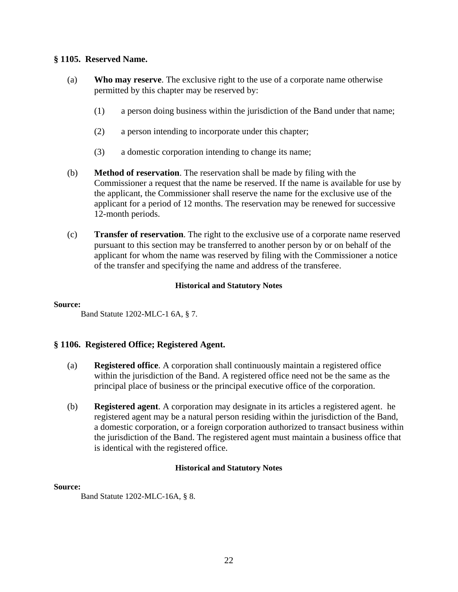# **§ 1105. Reserved Name.**

- (a) **Who may reserve**. The exclusive right to the use of a corporate name otherwise permitted by this chapter may be reserved by:
	- (1) a person doing business within the jurisdiction of the Band under that name;
	- (2) a person intending to incorporate under this chapter;
	- (3) a domestic corporation intending to change its name;
- (b) **Method of reservation**. The reservation shall be made by filing with the Commissioner a request that the name be reserved. If the name is available for use by the applicant, the Commissioner shall reserve the name for the exclusive use of the applicant for a period of 12 months. The reservation may be renewed for successive 12-month periods.
- (c) **Transfer of reservation**. The right to the exclusive use of a corporate name reserved pursuant to this section may be transferred to another person by or on behalf of the applicant for whom the name was reserved by filing with the Commissioner a notice of the transfer and specifying the name and address of the transferee.

# **Historical and Statutory Notes**

#### **Source:**

Band Statute 1202-MLC-1 6A, § 7.

# **§ 1106. Registered Office; Registered Agent.**

- (a) **Registered office**. A corporation shall continuously maintain a registered office within the jurisdiction of the Band. A registered office need not be the same as the principal place of business or the principal executive office of the corporation.
- (b) **Registered agent**. A corporation may designate in its articles a registered agent. he registered agent may be a natural person residing within the jurisdiction of the Band, a domestic corporation, or a foreign corporation authorized to transact business within the jurisdiction of the Band. The registered agent must maintain a business office that is identical with the registered office.

# **Historical and Statutory Notes**

# **Source:**

Band Statute 1202-MLC-16A, § 8.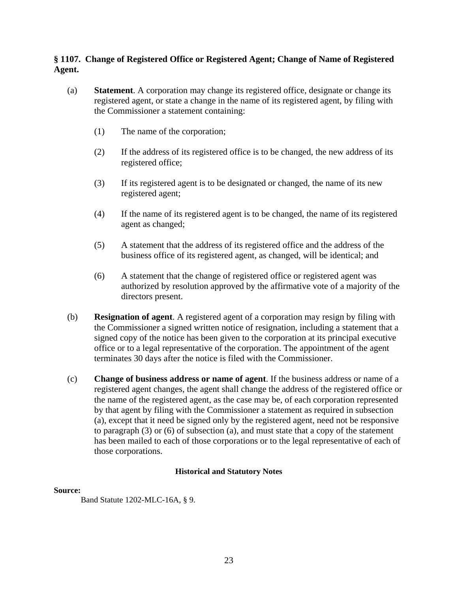# **§ 1107. Change of Registered Office or Registered Agent; Change of Name of Registered Agent.**

- (a) **Statement**. A corporation may change its registered office, designate or change its registered agent, or state a change in the name of its registered agent, by filing with the Commissioner a statement containing:
	- (1) The name of the corporation;
	- (2) If the address of its registered office is to be changed, the new address of its registered office;
	- (3) If its registered agent is to be designated or changed, the name of its new registered agent;
	- (4) If the name of its registered agent is to be changed, the name of its registered agent as changed;
	- (5) A statement that the address of its registered office and the address of the business office of its registered agent, as changed, will be identical; and
	- (6) A statement that the change of registered office or registered agent was authorized by resolution approved by the affirmative vote of a majority of the directors present.
- (b) **Resignation of agent**. A registered agent of a corporation may resign by filing with the Commissioner a signed written notice of resignation, including a statement that a signed copy of the notice has been given to the corporation at its principal executive office or to a legal representative of the corporation. The appointment of the agent terminates 30 days after the notice is filed with the Commissioner.
- (c) **Change of business address or name of agent**. If the business address or name of a registered agent changes, the agent shall change the address of the registered office or the name of the registered agent, as the case may be, of each corporation represented by that agent by filing with the Commissioner a statement as required in subsection (a), except that it need be signed only by the registered agent, need not be responsive to paragraph (3) or (6) of subsection (a), and must state that a copy of the statement has been mailed to each of those corporations or to the legal representative of each of those corporations.

# **Historical and Statutory Notes**

#### **Source:**

Band Statute 1202-MLC-16A, § 9.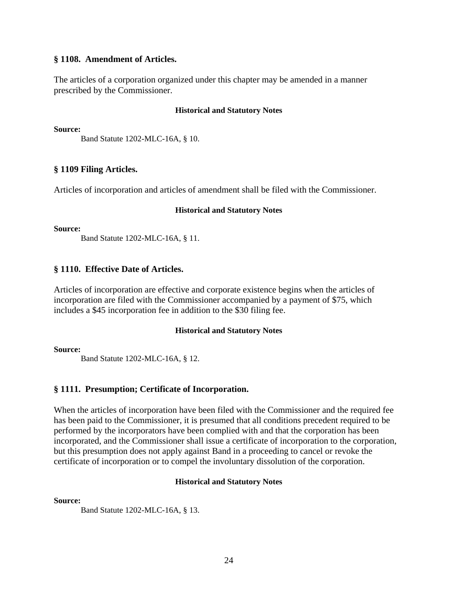#### **§ 1108. Amendment of Articles.**

The articles of a corporation organized under this chapter may be amended in a manner prescribed by the Commissioner.

#### **Historical and Statutory Notes**

**Source:**

Band Statute 1202-MLC-16A, § 10.

## **§ 1109 Filing Articles.**

Articles of incorporation and articles of amendment shall be filed with the Commissioner.

#### **Historical and Statutory Notes**

**Source:**

Band Statute 1202-MLC-16A, § 11.

## **§ 1110. Effective Date of Articles.**

Articles of incorporation are effective and corporate existence begins when the articles of incorporation are filed with the Commissioner accompanied by a payment of \$75, which includes a \$45 incorporation fee in addition to the \$30 filing fee.

#### **Historical and Statutory Notes**

**Source:**

Band Statute 1202-MLC-16A, § 12.

# **§ 1111. Presumption; Certificate of Incorporation.**

When the articles of incorporation have been filed with the Commissioner and the required fee has been paid to the Commissioner, it is presumed that all conditions precedent required to be performed by the incorporators have been complied with and that the corporation has been incorporated, and the Commissioner shall issue a certificate of incorporation to the corporation, but this presumption does not apply against Band in a proceeding to cancel or revoke the certificate of incorporation or to compel the involuntary dissolution of the corporation.

#### **Historical and Statutory Notes**

**Source:**

Band Statute 1202-MLC-16A, § 13.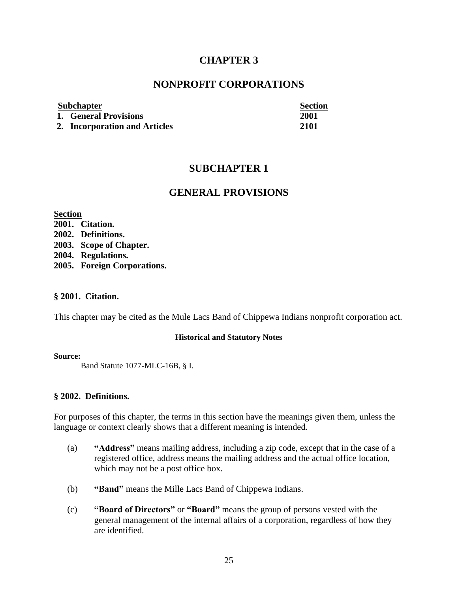# **CHAPTER 3**

# **NONPROFIT CORPORATIONS**

# **Subchapter Section**

**1. General Provisions 2001**

# **2. Incorporation and Articles 2101**

# **SUBCHAPTER 1**

# **GENERAL PROVISIONS**

**Section 2001. Citation. 2002. Definitions. 2003. Scope of Chapter. 2004. Regulations. 2005. Foreign Corporations.**

# **§ 2001. Citation.**

This chapter may be cited as the Mule Lacs Band of Chippewa Indians nonprofit corporation act.

#### **Historical and Statutory Notes**

#### **Source:**

Band Statute 1077-MLC-16B, § I.

# **§ 2002. Definitions.**

For purposes of this chapter, the terms in this section have the meanings given them, unless the language or context clearly shows that a different meaning is intended.

- (a) **"Address"** means mailing address, including a zip code, except that in the case of a registered office, address means the mailing address and the actual office location, which may not be a post office box.
- (b) **"Band"** means the Mille Lacs Band of Chippewa Indians.
- (c) **"Board of Directors"** or **"Board"** means the group of persons vested with the general management of the internal affairs of a corporation, regardless of how they are identified.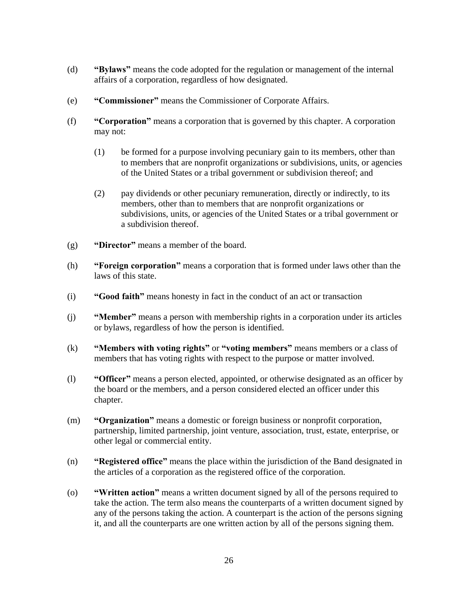- (d) **"Bylaws"** means the code adopted for the regulation or management of the internal affairs of a corporation, regardless of how designated.
- (e) **"Commissioner"** means the Commissioner of Corporate Affairs.
- (f) **"Corporation"** means a corporation that is governed by this chapter. A corporation may not:
	- (1) be formed for a purpose involving pecuniary gain to its members, other than to members that are nonprofit organizations or subdivisions, units, or agencies of the United States or a tribal government or subdivision thereof; and
	- (2) pay dividends or other pecuniary remuneration, directly or indirectly, to its members, other than to members that are nonprofit organizations or subdivisions, units, or agencies of the United States or a tribal government or a subdivision thereof.
- (g) **"Director"** means a member of the board.
- (h) **"Foreign corporation"** means a corporation that is formed under laws other than the laws of this state.
- (i) **"Good faith"** means honesty in fact in the conduct of an act or transaction
- (j) **"Member"** means a person with membership rights in a corporation under its articles or bylaws, regardless of how the person is identified.
- (k) **"Members with voting rights"** or **"voting members"** means members or a class of members that has voting rights with respect to the purpose or matter involved.
- (l) **"Officer"** means a person elected, appointed, or otherwise designated as an officer by the board or the members, and a person considered elected an officer under this chapter.
- (m) **"Organization"** means a domestic or foreign business or nonprofit corporation, partnership, limited partnership, joint venture, association, trust, estate, enterprise, or other legal or commercial entity.
- (n) **"Registered office"** means the place within the jurisdiction of the Band designated in the articles of a corporation as the registered office of the corporation.
- (o) **"Written action"** means a written document signed by all of the persons required to take the action. The term also means the counterparts of a written document signed by any of the persons taking the action. A counterpart is the action of the persons signing it, and all the counterparts are one written action by all of the persons signing them.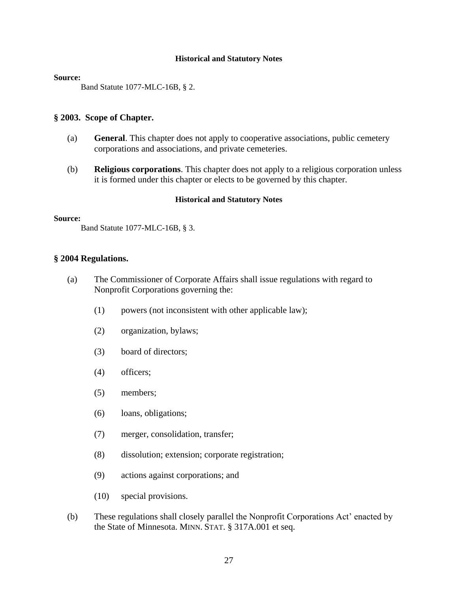#### **Source:**

Band Statute 1077-MLC-16B, § 2.

#### **§ 2003. Scope of Chapter.**

- (a) **General**. This chapter does not apply to cooperative associations, public cemetery corporations and associations, and private cemeteries.
- (b) **Religious corporations**. This chapter does not apply to a religious corporation unless it is formed under this chapter or elects to be governed by this chapter.

#### **Historical and Statutory Notes**

#### **Source:**

Band Statute 1077-MLC-16B, § 3.

## **§ 2004 Regulations.**

- (a) The Commissioner of Corporate Affairs shall issue regulations with regard to Nonprofit Corporations governing the:
	- (1) powers (not inconsistent with other applicable law);
	- (2) organization, bylaws;
	- (3) board of directors;
	- (4) officers;
	- (5) members;
	- (6) loans, obligations;
	- (7) merger, consolidation, transfer;
	- (8) dissolution; extension; corporate registration;
	- (9) actions against corporations; and
	- (10) special provisions.
- (b) These regulations shall closely parallel the Nonprofit Corporations Act' enacted by the State of Minnesota. MINN. STAT. § 317A.001 et seq.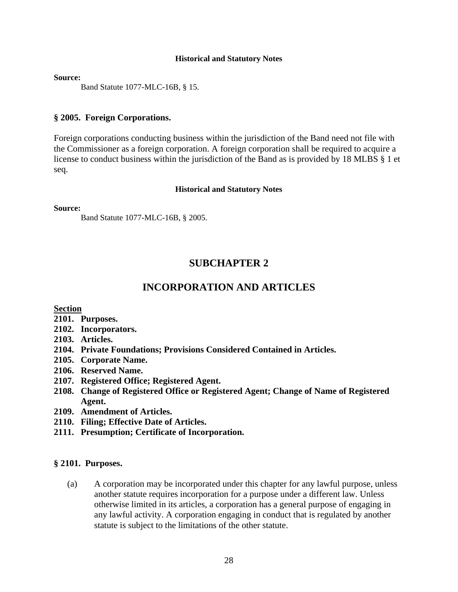**Source:**

Band Statute 1077-MLC-16B, § 15.

#### **§ 2005. Foreign Corporations.**

Foreign corporations conducting business within the jurisdiction of the Band need not file with the Commissioner as a foreign corporation. A foreign corporation shall be required to acquire a license to conduct business within the jurisdiction of the Band as is provided by 18 MLBS § 1 et seq.

#### **Historical and Statutory Notes**

**Source:**

Band Statute 1077-MLC-16B, § 2005.

# **SUBCHAPTER 2**

# **INCORPORATION AND ARTICLES**

## **Section**

- **2101. Purposes.**
- **2102. Incorporators.**
- **2103. Articles.**
- **2104. Private Foundations; Provisions Considered Contained in Articles.**
- **2105. Corporate Name.**
- **2106. Reserved Name.**
- **2107. Registered Office; Registered Agent.**
- **2108. Change of Registered Office or Registered Agent; Change of Name of Registered Agent.**
- **2109. Amendment of Articles.**
- **2110. Filing; Effective Date of Articles.**
- **2111. Presumption; Certificate of Incorporation.**

#### **§ 2101. Purposes.**

(a) A corporation may be incorporated under this chapter for any lawful purpose, unless another statute requires incorporation for a purpose under a different law. Unless otherwise limited in its articles, a corporation has a general purpose of engaging in any lawful activity. A corporation engaging in conduct that is regulated by another statute is subject to the limitations of the other statute.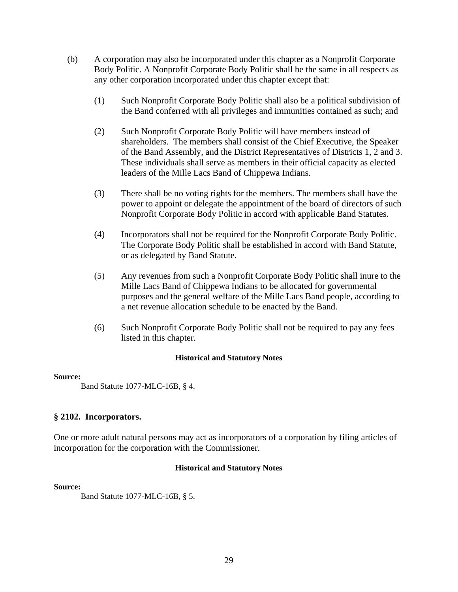- (b) A corporation may also be incorporated under this chapter as a Nonprofit Corporate Body Politic. A Nonprofit Corporate Body Politic shall be the same in all respects as any other corporation incorporated under this chapter except that:
	- (1) Such Nonprofit Corporate Body Politic shall also be a political subdivision of the Band conferred with all privileges and immunities contained as such; and
	- (2) Such Nonprofit Corporate Body Politic will have members instead of shareholders. The members shall consist of the Chief Executive, the Speaker of the Band Assembly, and the District Representatives of Districts 1, 2 and 3. These individuals shall serve as members in their official capacity as elected leaders of the Mille Lacs Band of Chippewa Indians.
	- (3) There shall be no voting rights for the members. The members shall have the power to appoint or delegate the appointment of the board of directors of such Nonprofit Corporate Body Politic in accord with applicable Band Statutes.
	- (4) Incorporators shall not be required for the Nonprofit Corporate Body Politic. The Corporate Body Politic shall be established in accord with Band Statute, or as delegated by Band Statute.
	- (5) Any revenues from such a Nonprofit Corporate Body Politic shall inure to the Mille Lacs Band of Chippewa Indians to be allocated for governmental purposes and the general welfare of the Mille Lacs Band people, according to a net revenue allocation schedule to be enacted by the Band.
	- (6) Such Nonprofit Corporate Body Politic shall not be required to pay any fees listed in this chapter.

#### **Source:**

Band Statute 1077-MLC-16B, § 4.

# **§ 2102. Incorporators.**

One or more adult natural persons may act as incorporators of a corporation by filing articles of incorporation for the corporation with the Commissioner.

# **Historical and Statutory Notes**

#### **Source:**

Band Statute 1077-MLC-16B, § 5.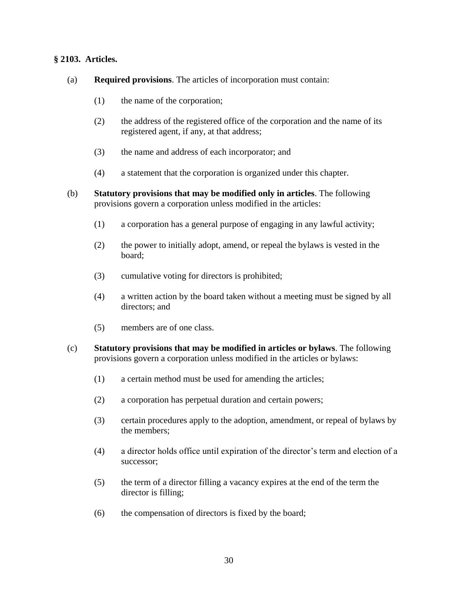# **§ 2103. Articles.**

- (a) **Required provisions**. The articles of incorporation must contain:
	- (1) the name of the corporation;
	- (2) the address of the registered office of the corporation and the name of its registered agent, if any, at that address;
	- (3) the name and address of each incorporator; and
	- (4) a statement that the corporation is organized under this chapter.
- (b) **Statutory provisions that may be modified only in articles**. The following provisions govern a corporation unless modified in the articles:
	- (1) a corporation has a general purpose of engaging in any lawful activity;
	- (2) the power to initially adopt, amend, or repeal the bylaws is vested in the board;
	- (3) cumulative voting for directors is prohibited;
	- (4) a written action by the board taken without a meeting must be signed by all directors; and
	- (5) members are of one class.
- (c) **Statutory provisions that may be modified in articles or bylaws**. The following provisions govern a corporation unless modified in the articles or bylaws:
	- (1) a certain method must be used for amending the articles;
	- (2) a corporation has perpetual duration and certain powers;
	- (3) certain procedures apply to the adoption, amendment, or repeal of bylaws by the members;
	- (4) a director holds office until expiration of the director's term and election of a successor;
	- (5) the term of a director filling a vacancy expires at the end of the term the director is filling;
	- (6) the compensation of directors is fixed by the board;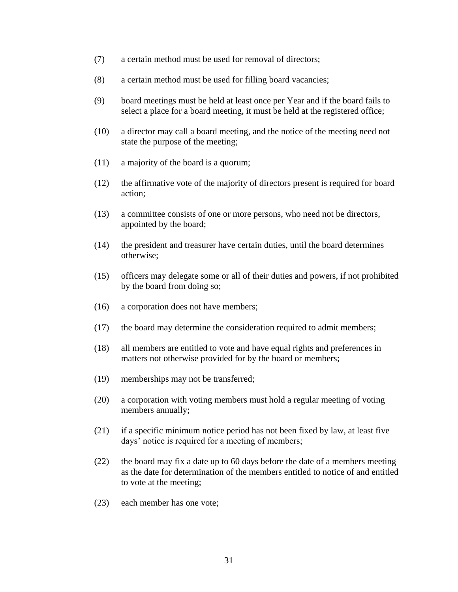- (7) a certain method must be used for removal of directors;
- (8) a certain method must be used for filling board vacancies;
- (9) board meetings must be held at least once per Year and if the board fails to select a place for a board meeting, it must be held at the registered office;
- (10) a director may call a board meeting, and the notice of the meeting need not state the purpose of the meeting;
- (11) a majority of the board is a quorum;
- (12) the affirmative vote of the majority of directors present is required for board action;
- (13) a committee consists of one or more persons, who need not be directors, appointed by the board;
- (14) the president and treasurer have certain duties, until the board determines otherwise;
- (15) officers may delegate some or all of their duties and powers, if not prohibited by the board from doing so;
- (16) a corporation does not have members;
- (17) the board may determine the consideration required to admit members;
- (18) all members are entitled to vote and have equal rights and preferences in matters not otherwise provided for by the board or members;
- (19) memberships may not be transferred;
- (20) a corporation with voting members must hold a regular meeting of voting members annually;
- (21) if a specific minimum notice period has not been fixed by law, at least five days' notice is required for a meeting of members;
- (22) the board may fix a date up to 60 days before the date of a members meeting as the date for determination of the members entitled to notice of and entitled to vote at the meeting;
- (23) each member has one vote;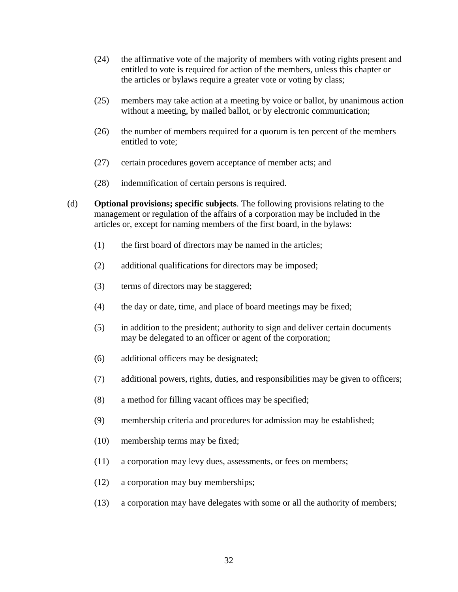- (24) the affirmative vote of the majority of members with voting rights present and entitled to vote is required for action of the members, unless this chapter or the articles or bylaws require a greater vote or voting by class;
- (25) members may take action at a meeting by voice or ballot, by unanimous action without a meeting, by mailed ballot, or by electronic communication;
- (26) the number of members required for a quorum is ten percent of the members entitled to vote;
- (27) certain procedures govern acceptance of member acts; and
- (28) indemnification of certain persons is required.
- (d) **Optional provisions; specific subjects**. The following provisions relating to the management or regulation of the affairs of a corporation may be included in the articles or, except for naming members of the first board, in the bylaws:
	- (1) the first board of directors may be named in the articles;
	- (2) additional qualifications for directors may be imposed;
	- (3) terms of directors may be staggered;
	- (4) the day or date, time, and place of board meetings may be fixed;
	- (5) in addition to the president; authority to sign and deliver certain documents may be delegated to an officer or agent of the corporation;
	- (6) additional officers may be designated;
	- (7) additional powers, rights, duties, and responsibilities may be given to officers;
	- (8) a method for filling vacant offices may be specified;
	- (9) membership criteria and procedures for admission may be established;
	- (10) membership terms may be fixed;
	- (11) a corporation may levy dues, assessments, or fees on members;
	- (12) a corporation may buy memberships;
	- (13) a corporation may have delegates with some or all the authority of members;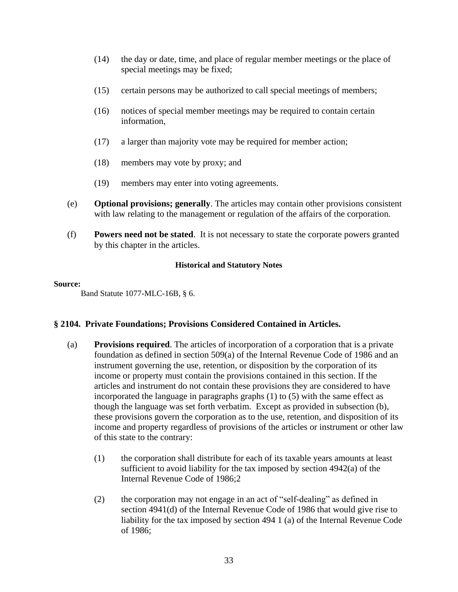- (14) the day or date, time, and place of regular member meetings or the place of special meetings may be fixed;
- (15) certain persons may be authorized to call special meetings of members;
- (16) notices of special member meetings may be required to contain certain information,
- (17) a larger than majority vote may be required for member action;
- (18) members may vote by proxy; and
- (19) members may enter into voting agreements.
- (e) **Optional provisions; generally**. The articles may contain other provisions consistent with law relating to the management or regulation of the affairs of the corporation.
- (f) **Powers need not be stated**. It is not necessary to state the corporate powers granted by this chapter in the articles.

#### **Source:**

Band Statute 1077-MLC-16B, § 6.

# **§ 2104. Private Foundations; Provisions Considered Contained in Articles.**

- (a) **Provisions required**. The articles of incorporation of a corporation that is a private foundation as defined in section 509(a) of the Internal Revenue Code of 1986 and an instrument governing the use, retention, or disposition by the corporation of its income or property must contain the provisions contained in this section. If the articles and instrument do not contain these provisions they are considered to have incorporated the language in paragraphs graphs (1) to (5) with the same effect as though the language was set forth verbatim. Except as provided in subsection (b), these provisions govern the corporation as to the use, retention, and disposition of its income and property regardless of provisions of the articles or instrument or other law of this state to the contrary:
	- (1) the corporation shall distribute for each of its taxable years amounts at least sufficient to avoid liability for the tax imposed by section 4942(a) of the Internal Revenue Code of 1986;2
	- (2) the corporation may not engage in an act of "self-dealing" as defined in section 4941(d) of the Internal Revenue Code of 1986 that would give rise to liability for the tax imposed by section 494 1 (a) of the Internal Revenue Code of 1986;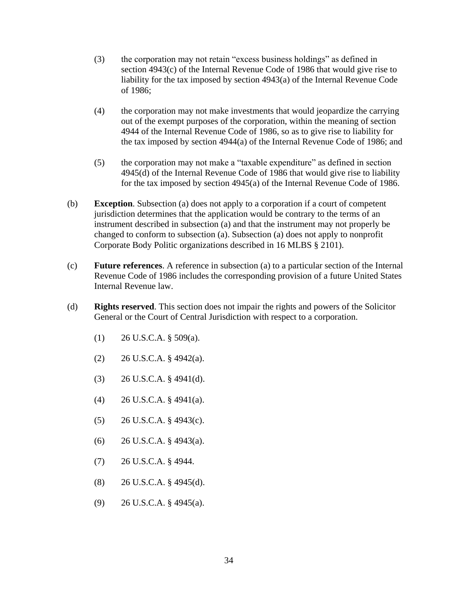- (3) the corporation may not retain "excess business holdings" as defined in section 4943(c) of the Internal Revenue Code of 1986 that would give rise to liability for the tax imposed by section 4943(a) of the Internal Revenue Code of 1986;
- (4) the corporation may not make investments that would jeopardize the carrying out of the exempt purposes of the corporation, within the meaning of section 4944 of the Internal Revenue Code of 1986, so as to give rise to liability for the tax imposed by section 4944(a) of the Internal Revenue Code of 1986; and
- (5) the corporation may not make a "taxable expenditure" as defined in section 4945(d) of the Internal Revenue Code of 1986 that would give rise to liability for the tax imposed by section 4945(a) of the Internal Revenue Code of 1986.
- (b) **Exception**. Subsection (a) does not apply to a corporation if a court of competent jurisdiction determines that the application would be contrary to the terms of an instrument described in subsection (a) and that the instrument may not properly be changed to conform to subsection (a). Subsection (a) does not apply to nonprofit Corporate Body Politic organizations described in 16 MLBS § 2101).
- (c) **Future references**. A reference in subsection (a) to a particular section of the Internal Revenue Code of 1986 includes the corresponding provision of a future United States Internal Revenue law.
- (d) **Rights reserved**. This section does not impair the rights and powers of the Solicitor General or the Court of Central Jurisdiction with respect to a corporation.
	- $(1)$  26 U.S.C.A. § 509(a).
	- $(2)$  26 U.S.C.A. § 4942(a).
	- (3) 26 U.S.C.A. § 4941(d).
	- (4) 26 U.S.C.A. § 4941(a).
	- (5) 26 U.S.C.A. § 4943(c).
	- $(6)$  26 U.S.C.A. § 4943(a).
	- (7) 26 U.S.C.A. § 4944.
	- (8) 26 U.S.C.A. § 4945(d).
	- (9) 26 U.S.C.A. § 4945(a).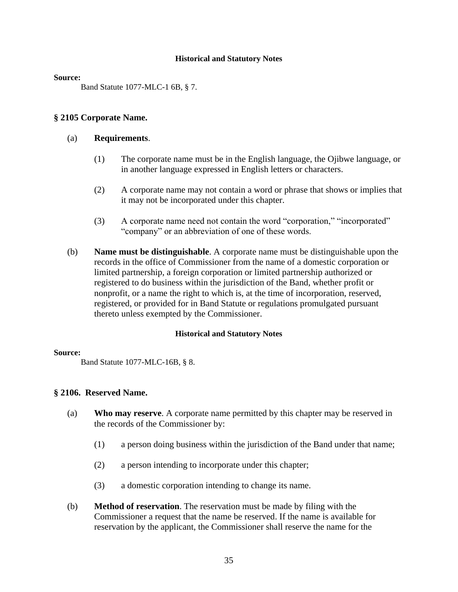#### **Source:**

Band Statute 1077-MLC-1 6B, § 7.

## **§ 2105 Corporate Name.**

#### (a) **Requirements**.

- (1) The corporate name must be in the English language, the Ojibwe language, or in another language expressed in English letters or characters.
- (2) A corporate name may not contain a word or phrase that shows or implies that it may not be incorporated under this chapter.
- (3) A corporate name need not contain the word "corporation," "incorporated" "company" or an abbreviation of one of these words.
- (b) **Name must be distinguishable**. A corporate name must be distinguishable upon the records in the office of Commissioner from the name of a domestic corporation or limited partnership, a foreign corporation or limited partnership authorized or registered to do business within the jurisdiction of the Band, whether profit or nonprofit, or a name the right to which is, at the time of incorporation, reserved, registered, or provided for in Band Statute or regulations promulgated pursuant thereto unless exempted by the Commissioner.

#### **Historical and Statutory Notes**

#### **Source:**

Band Statute 1077-MLC-16B, § 8.

#### **§ 2106. Reserved Name.**

- (a) **Who may reserve**. A corporate name permitted by this chapter may be reserved in the records of the Commissioner by:
	- (1) a person doing business within the jurisdiction of the Band under that name;
	- (2) a person intending to incorporate under this chapter;
	- (3) a domestic corporation intending to change its name.
- (b) **Method of reservation**. The reservation must be made by filing with the Commissioner a request that the name be reserved. If the name is available for reservation by the applicant, the Commissioner shall reserve the name for the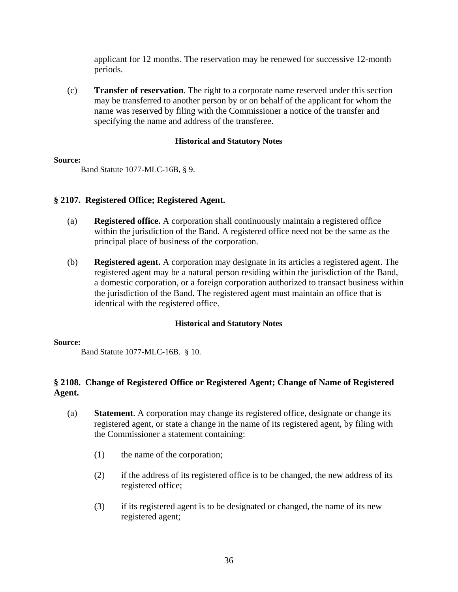applicant for 12 months. The reservation may be renewed for successive 12-month periods.

(c) **Transfer of reservation**. The right to a corporate name reserved under this section may be transferred to another person by or on behalf of the applicant for whom the name was reserved by filing with the Commissioner a notice of the transfer and specifying the name and address of the transferee.

# **Historical and Statutory Notes**

#### **Source:**

Band Statute 1077-MLC-16B, § 9.

# **§ 2107. Registered Office; Registered Agent.**

- (a) **Registered office.** A corporation shall continuously maintain a registered office within the jurisdiction of the Band. A registered office need not be the same as the principal place of business of the corporation.
- (b) **Registered agent.** A corporation may designate in its articles a registered agent. The registered agent may be a natural person residing within the jurisdiction of the Band, a domestic corporation, or a foreign corporation authorized to transact business within the jurisdiction of the Band. The registered agent must maintain an office that is identical with the registered office.

# **Historical and Statutory Notes**

#### **Source:**

Band Statute 1077-MLC-16B. § 10.

# **§ 2108. Change of Registered Office or Registered Agent; Change of Name of Registered Agent.**

- (a) **Statement**. A corporation may change its registered office, designate or change its registered agent, or state a change in the name of its registered agent, by filing with the Commissioner a statement containing:
	- (1) the name of the corporation;
	- (2) if the address of its registered office is to be changed, the new address of its registered office;
	- (3) if its registered agent is to be designated or changed, the name of its new registered agent;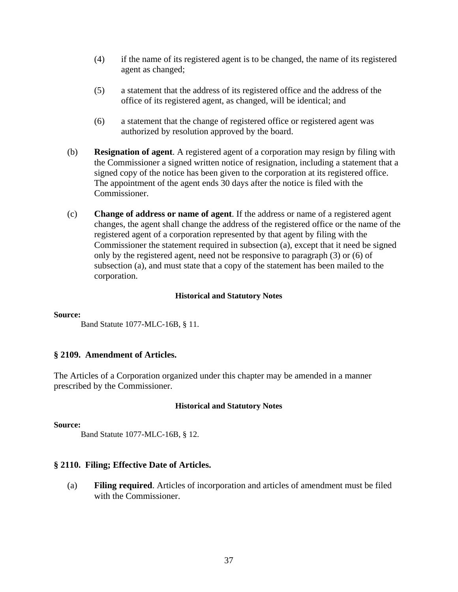- (4) if the name of its registered agent is to be changed, the name of its registered agent as changed;
- (5) a statement that the address of its registered office and the address of the office of its registered agent, as changed, will be identical; and
- (6) a statement that the change of registered office or registered agent was authorized by resolution approved by the board.
- (b) **Resignation of agent**. A registered agent of a corporation may resign by filing with the Commissioner a signed written notice of resignation, including a statement that a signed copy of the notice has been given to the corporation at its registered office. The appointment of the agent ends 30 days after the notice is filed with the Commissioner.
- (c) **Change of address or name of agent**. If the address or name of a registered agent changes, the agent shall change the address of the registered office or the name of the registered agent of a corporation represented by that agent by filing with the Commissioner the statement required in subsection (a), except that it need be signed only by the registered agent, need not be responsive to paragraph (3) or (6) of subsection (a), and must state that a copy of the statement has been mailed to the corporation.

#### **Source:**

Band Statute 1077-MLC-16B, § 11.

# **§ 2109. Amendment of Articles.**

The Articles of a Corporation organized under this chapter may be amended in a manner prescribed by the Commissioner.

#### **Historical and Statutory Notes**

#### **Source:**

Band Statute 1077-MLC-16B, § 12.

# **§ 2110. Filing; Effective Date of Articles.**

(a) **Filing required**. Articles of incorporation and articles of amendment must be filed with the Commissioner.